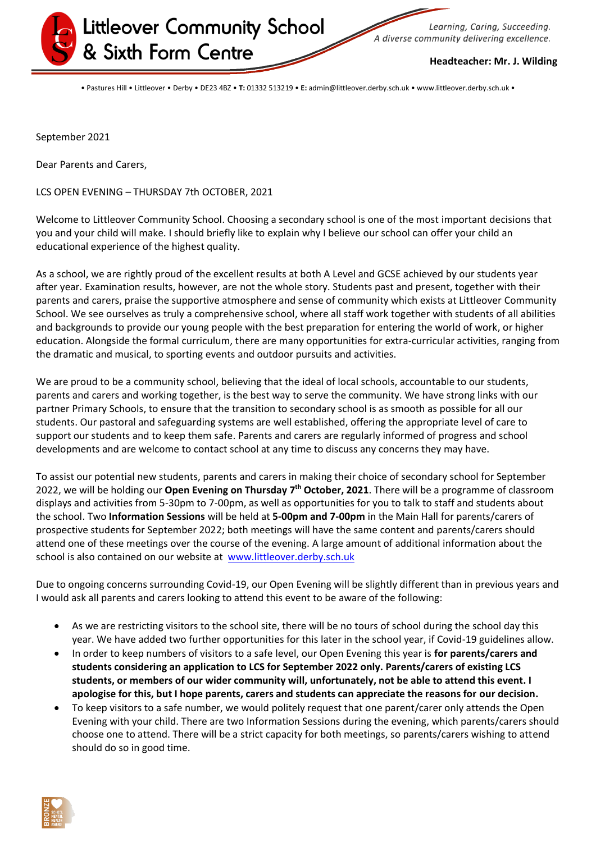

Learning, Caring, Succeeding. A diverse community delivering excellence.

**Headteacher: Mr. J. Wilding**

• Pastures Hill • Littleover • Derby • DE23 4BZ • **T:** 01332 513219 • **E:** admin@littleover.derby.sch.uk • www.littleover.derby.sch.uk •

September 2021

Dear Parents and Carers,

LCS OPEN EVENING – THURSDAY 7th OCTOBER, 2021

Welcome to Littleover Community School. Choosing a secondary school is one of the most important decisions that you and your child will make. I should briefly like to explain why I believe our school can offer your child an educational experience of the highest quality.

As a school, we are rightly proud of the excellent results at both A Level and GCSE achieved by our students year after year. Examination results, however, are not the whole story. Students past and present, together with their parents and carers, praise the supportive atmosphere and sense of community which exists at Littleover Community School. We see ourselves as truly a comprehensive school, where all staff work together with students of all abilities and backgrounds to provide our young people with the best preparation for entering the world of work, or higher education. Alongside the formal curriculum, there are many opportunities for extra-curricular activities, ranging from the dramatic and musical, to sporting events and outdoor pursuits and activities.

We are proud to be a community school, believing that the ideal of local schools, accountable to our students, parents and carers and working together, is the best way to serve the community. We have strong links with our partner Primary Schools, to ensure that the transition to secondary school is as smooth as possible for all our students. Our pastoral and safeguarding systems are well established, offering the appropriate level of care to support our students and to keep them safe. Parents and carers are regularly informed of progress and school developments and are welcome to contact school at any time to discuss any concerns they may have.

To assist our potential new students, parents and carers in making their choice of secondary school for September 2022, we will be holding our Open Evening on Thursday 7<sup>th</sup> October, 2021. There will be a programme of classroom displays and activities from 5-30pm to 7-00pm, as well as opportunities for you to talk to staff and students about the school. Two **Information Sessions** will be held at **5-00pm and 7-00pm** in the Main Hall for parents/carers of prospective students for September 2022; both meetings will have the same content and parents/carers should attend one of these meetings over the course of the evening. A large amount of additional information about the school is also contained on our website at [www.littleover.derby.sch.uk](http://www.littleover.derby.sch.uk/)

Due to ongoing concerns surrounding Covid-19, our Open Evening will be slightly different than in previous years and I would ask all parents and carers looking to attend this event to be aware of the following:

- As we are restricting visitors to the school site, there will be no tours of school during the school day this year. We have added two further opportunities for this later in the school year, if Covid-19 guidelines allow.
- In order to keep numbers of visitors to a safe level, our Open Evening this year is **for parents/carers and students considering an application to LCS for September 2022 only. Parents/carers of existing LCS students, or members of our wider community will, unfortunately, not be able to attend this event. I apologise for this, but I hope parents, carers and students can appreciate the reasons for our decision.**
- To keep visitors to a safe number, we would politely request that one parent/carer only attends the Open Evening with your child. There are two Information Sessions during the evening, which parents/carers should choose one to attend. There will be a strict capacity for both meetings, so parents/carers wishing to attend should do so in good time.